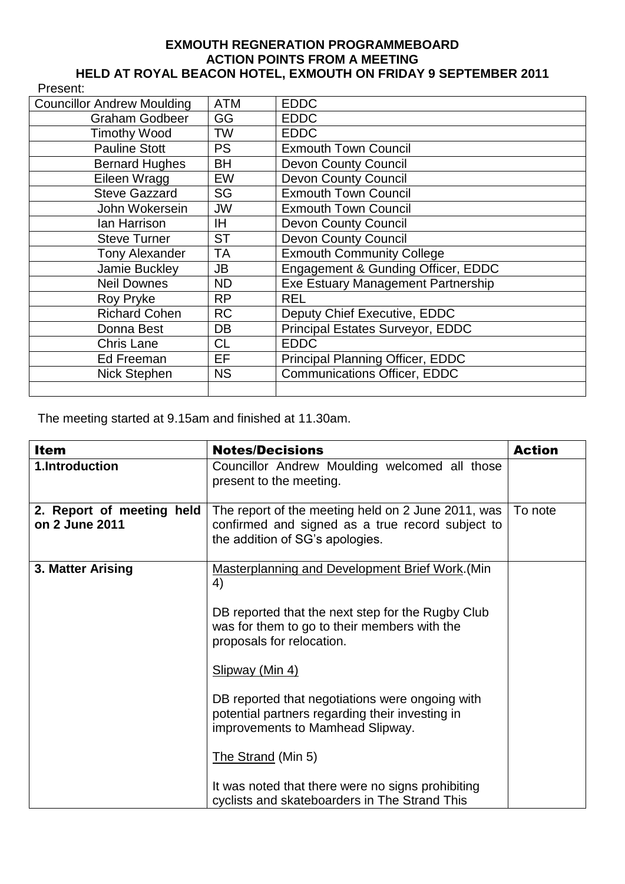## **EXMOUTH REGNERATION PROGRAMMEBOARD ACTION POINTS FROM A MEETING HELD AT ROYAL BEACON HOTEL, EXMOUTH ON FRIDAY 9 SEPTEMBER 2011**

| Present:                          |            |                                     |
|-----------------------------------|------------|-------------------------------------|
| <b>Councillor Andrew Moulding</b> | <b>ATM</b> | <b>EDDC</b>                         |
| <b>Graham Godbeer</b>             | GG         | <b>EDDC</b>                         |
| <b>Timothy Wood</b>               | <b>TW</b>  | <b>EDDC</b>                         |
| <b>Pauline Stott</b>              | <b>PS</b>  | <b>Exmouth Town Council</b>         |
| <b>Bernard Hughes</b>             | BH         | <b>Devon County Council</b>         |
| Eileen Wragg                      | <b>EW</b>  | <b>Devon County Council</b>         |
| <b>Steve Gazzard</b>              | SG         | <b>Exmouth Town Council</b>         |
| John Wokersein                    | JW         | <b>Exmouth Town Council</b>         |
| lan Harrison                      | IH.        | <b>Devon County Council</b>         |
| <b>Steve Turner</b>               | <b>ST</b>  | <b>Devon County Council</b>         |
| <b>Tony Alexander</b>             | TA         | <b>Exmouth Community College</b>    |
| Jamie Buckley                     | JB         | Engagement & Gunding Officer, EDDC  |
| <b>Neil Downes</b>                | <b>ND</b>  | Exe Estuary Management Partnership  |
| Roy Pryke                         | <b>RP</b>  | <b>REL</b>                          |
| <b>Richard Cohen</b>              | <b>RC</b>  | Deputy Chief Executive, EDDC        |
| Donna Best                        | DB         | Principal Estates Surveyor, EDDC    |
| <b>Chris Lane</b>                 | <b>CL</b>  | <b>EDDC</b>                         |
| Ed Freeman                        | EF         | Principal Planning Officer, EDDC    |
| Nick Stephen                      | <b>NS</b>  | <b>Communications Officer, EDDC</b> |
|                                   |            |                                     |

The meeting started at 9.15am and finished at 11.30am.

| <b>Item</b>                                 | <b>Notes/Decisions</b>                                                                                                                                                                                                                                                                                                                                                                                                                                                                  | <b>Action</b> |
|---------------------------------------------|-----------------------------------------------------------------------------------------------------------------------------------------------------------------------------------------------------------------------------------------------------------------------------------------------------------------------------------------------------------------------------------------------------------------------------------------------------------------------------------------|---------------|
| 1.Introduction                              | Councillor Andrew Moulding welcomed all those<br>present to the meeting.                                                                                                                                                                                                                                                                                                                                                                                                                |               |
| 2. Report of meeting held<br>on 2 June 2011 | The report of the meeting held on 2 June 2011, was<br>confirmed and signed as a true record subject to<br>the addition of SG's apologies.                                                                                                                                                                                                                                                                                                                                               | To note       |
| 3. Matter Arising                           | <b>Masterplanning and Development Brief Work.</b> (Min<br>4)<br>DB reported that the next step for the Rugby Club<br>was for them to go to their members with the<br>proposals for relocation.<br>Slipway (Min 4)<br>DB reported that negotiations were ongoing with<br>potential partners regarding their investing in<br>improvements to Mamhead Slipway.<br>The Strand (Min 5)<br>It was noted that there were no signs prohibiting<br>cyclists and skateboarders in The Strand This |               |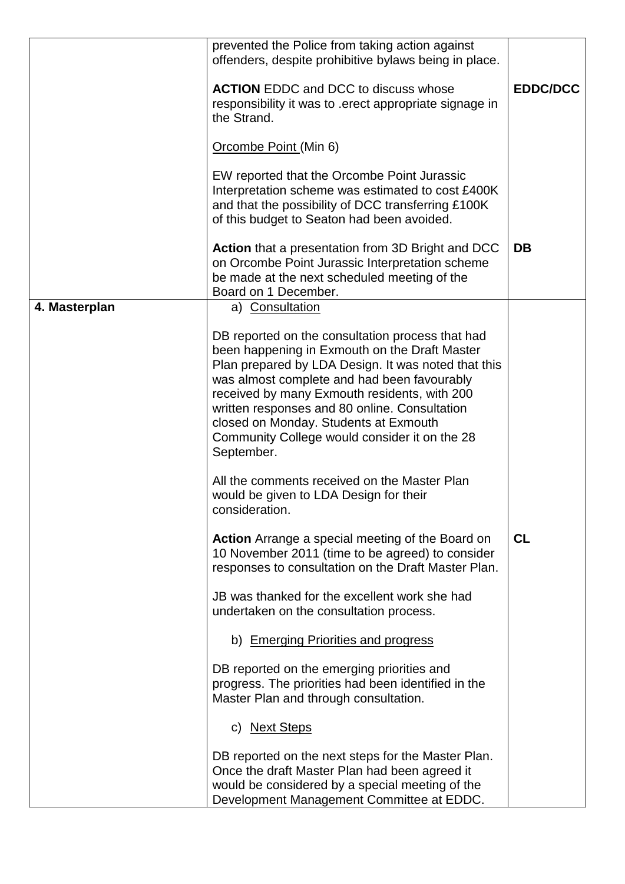|               | prevented the Police from taking action against<br>offenders, despite prohibitive bylaws being in place.                                                                                                                                                                                                                                                                                                         |                 |
|---------------|------------------------------------------------------------------------------------------------------------------------------------------------------------------------------------------------------------------------------------------------------------------------------------------------------------------------------------------------------------------------------------------------------------------|-----------------|
|               | <b>ACTION</b> EDDC and DCC to discuss whose<br>responsibility it was to .erect appropriate signage in<br>the Strand.                                                                                                                                                                                                                                                                                             | <b>EDDC/DCC</b> |
|               | Orcombe Point (Min 6)                                                                                                                                                                                                                                                                                                                                                                                            |                 |
|               | EW reported that the Orcombe Point Jurassic<br>Interpretation scheme was estimated to cost £400K<br>and that the possibility of DCC transferring £100K<br>of this budget to Seaton had been avoided.                                                                                                                                                                                                             |                 |
|               | Action that a presentation from 3D Bright and DCC<br>on Orcombe Point Jurassic Interpretation scheme<br>be made at the next scheduled meeting of the<br>Board on 1 December.                                                                                                                                                                                                                                     | <b>DB</b>       |
| 4. Masterplan | a) Consultation                                                                                                                                                                                                                                                                                                                                                                                                  |                 |
|               | DB reported on the consultation process that had<br>been happening in Exmouth on the Draft Master<br>Plan prepared by LDA Design. It was noted that this<br>was almost complete and had been favourably<br>received by many Exmouth residents, with 200<br>written responses and 80 online. Consultation<br>closed on Monday. Students at Exmouth<br>Community College would consider it on the 28<br>September. |                 |
|               | All the comments received on the Master Plan<br>would be given to LDA Design for their<br>consideration.                                                                                                                                                                                                                                                                                                         |                 |
|               | <b>Action</b> Arrange a special meeting of the Board on<br>10 November 2011 (time to be agreed) to consider<br>responses to consultation on the Draft Master Plan.                                                                                                                                                                                                                                               | <b>CL</b>       |
|               | JB was thanked for the excellent work she had<br>undertaken on the consultation process.                                                                                                                                                                                                                                                                                                                         |                 |
|               | b) Emerging Priorities and progress                                                                                                                                                                                                                                                                                                                                                                              |                 |
|               | DB reported on the emerging priorities and<br>progress. The priorities had been identified in the<br>Master Plan and through consultation.                                                                                                                                                                                                                                                                       |                 |
|               | c) Next Steps                                                                                                                                                                                                                                                                                                                                                                                                    |                 |
|               | DB reported on the next steps for the Master Plan.<br>Once the draft Master Plan had been agreed it<br>would be considered by a special meeting of the<br>Development Management Committee at EDDC.                                                                                                                                                                                                              |                 |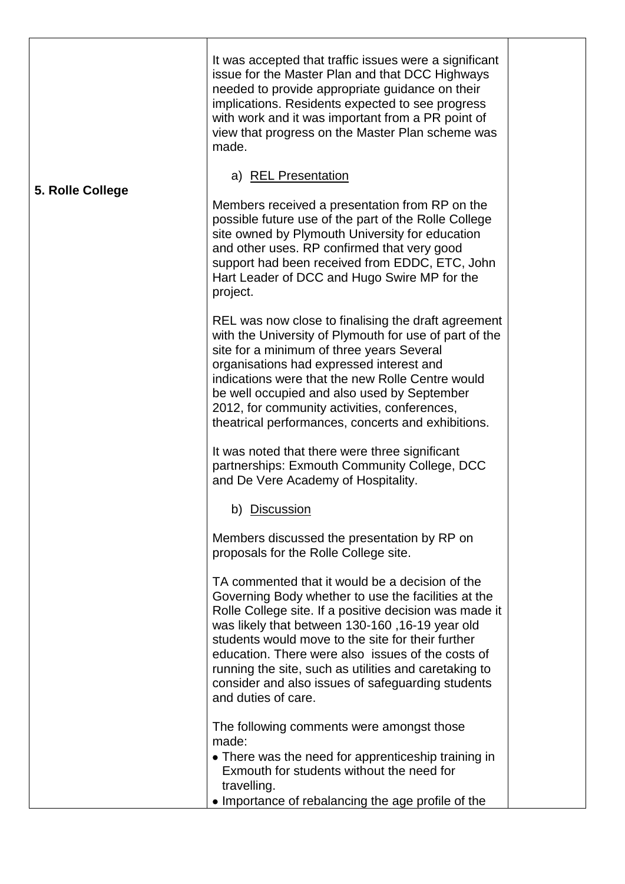|                  | It was accepted that traffic issues were a significant<br>issue for the Master Plan and that DCC Highways<br>needed to provide appropriate guidance on their<br>implications. Residents expected to see progress<br>with work and it was important from a PR point of<br>view that progress on the Master Plan scheme was<br>made.                                                                                                                                                                                                                       |  |
|------------------|----------------------------------------------------------------------------------------------------------------------------------------------------------------------------------------------------------------------------------------------------------------------------------------------------------------------------------------------------------------------------------------------------------------------------------------------------------------------------------------------------------------------------------------------------------|--|
| 5. Rolle College | a) REL Presentation<br>Members received a presentation from RP on the<br>possible future use of the part of the Rolle College<br>site owned by Plymouth University for education<br>and other uses. RP confirmed that very good<br>support had been received from EDDC, ETC, John<br>Hart Leader of DCC and Hugo Swire MP for the<br>project.                                                                                                                                                                                                            |  |
|                  | REL was now close to finalising the draft agreement<br>with the University of Plymouth for use of part of the<br>site for a minimum of three years Several<br>organisations had expressed interest and<br>indications were that the new Rolle Centre would<br>be well occupied and also used by September<br>2012, for community activities, conferences,<br>theatrical performances, concerts and exhibitions.<br>It was noted that there were three significant<br>partnerships: Exmouth Community College, DCC<br>and De Vere Academy of Hospitality. |  |
|                  | b) Discussion<br>Members discussed the presentation by RP on<br>proposals for the Rolle College site.                                                                                                                                                                                                                                                                                                                                                                                                                                                    |  |
|                  | TA commented that it would be a decision of the<br>Governing Body whether to use the facilities at the<br>Rolle College site. If a positive decision was made it<br>was likely that between 130-160, 16-19 year old<br>students would move to the site for their further<br>education. There were also issues of the costs of<br>running the site, such as utilities and caretaking to<br>consider and also issues of safeguarding students<br>and duties of care.                                                                                       |  |
|                  | The following comments were amongst those<br>made:<br>• There was the need for apprenticeship training in<br>Exmouth for students without the need for<br>travelling.<br>• Importance of rebalancing the age profile of the                                                                                                                                                                                                                                                                                                                              |  |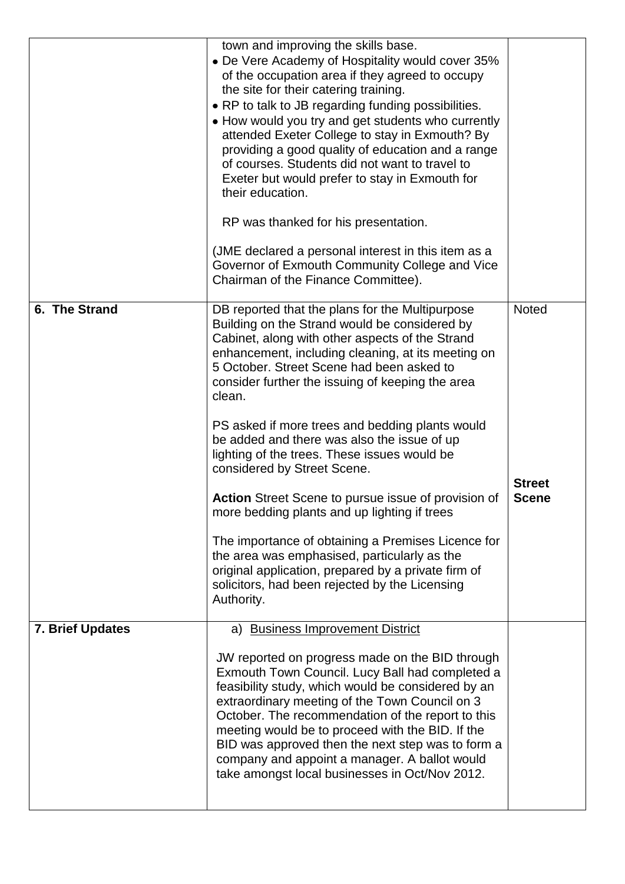| <b>Scene</b>  |
|---------------|
|               |
|               |
| <b>Street</b> |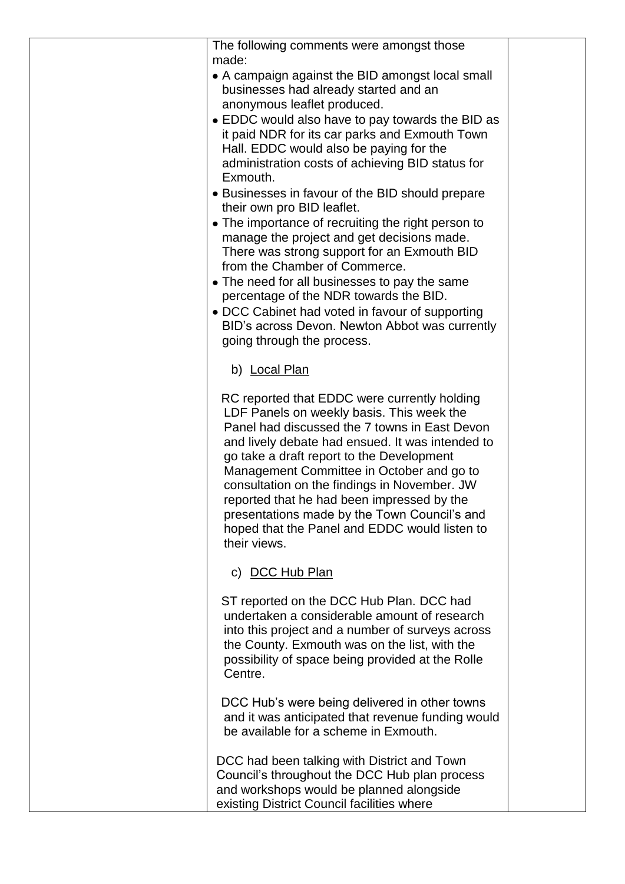| The following comments were amongst those                                                         |  |
|---------------------------------------------------------------------------------------------------|--|
| made:                                                                                             |  |
| • A campaign against the BID amongst local small                                                  |  |
| businesses had already started and an                                                             |  |
| anonymous leaflet produced.                                                                       |  |
| • EDDC would also have to pay towards the BID as                                                  |  |
| it paid NDR for its car parks and Exmouth Town<br>Hall. EDDC would also be paying for the         |  |
| administration costs of achieving BID status for                                                  |  |
| Exmouth.                                                                                          |  |
| • Businesses in favour of the BID should prepare                                                  |  |
| their own pro BID leaflet.                                                                        |  |
| • The importance of recruiting the right person to                                                |  |
| manage the project and get decisions made.                                                        |  |
| There was strong support for an Exmouth BID                                                       |  |
| from the Chamber of Commerce.                                                                     |  |
| • The need for all businesses to pay the same                                                     |  |
| percentage of the NDR towards the BID.                                                            |  |
| • DCC Cabinet had voted in favour of supporting<br>BID's across Devon. Newton Abbot was currently |  |
| going through the process.                                                                        |  |
|                                                                                                   |  |
| b) Local Plan                                                                                     |  |
|                                                                                                   |  |
| RC reported that EDDC were currently holding                                                      |  |
| LDF Panels on weekly basis. This week the                                                         |  |
| Panel had discussed the 7 towns in East Devon<br>and lively debate had ensued. It was intended to |  |
| go take a draft report to the Development                                                         |  |
| Management Committee in October and go to                                                         |  |
| consultation on the findings in November. JW                                                      |  |
| reported that he had been impressed by the                                                        |  |
| presentations made by the Town Council's and                                                      |  |
| hoped that the Panel and EDDC would listen to                                                     |  |
| their views.                                                                                      |  |
| c) DCC Hub Plan                                                                                   |  |
|                                                                                                   |  |
| ST reported on the DCC Hub Plan. DCC had                                                          |  |
| undertaken a considerable amount of research                                                      |  |
| into this project and a number of surveys across                                                  |  |
| the County. Exmouth was on the list, with the                                                     |  |
| possibility of space being provided at the Rolle                                                  |  |
| Centre.                                                                                           |  |
| DCC Hub's were being delivered in other towns                                                     |  |
| and it was anticipated that revenue funding would                                                 |  |
| be available for a scheme in Exmouth.                                                             |  |
|                                                                                                   |  |
| DCC had been talking with District and Town                                                       |  |
| Council's throughout the DCC Hub plan process                                                     |  |
| and workshops would be planned alongside                                                          |  |
| existing District Council facilities where                                                        |  |